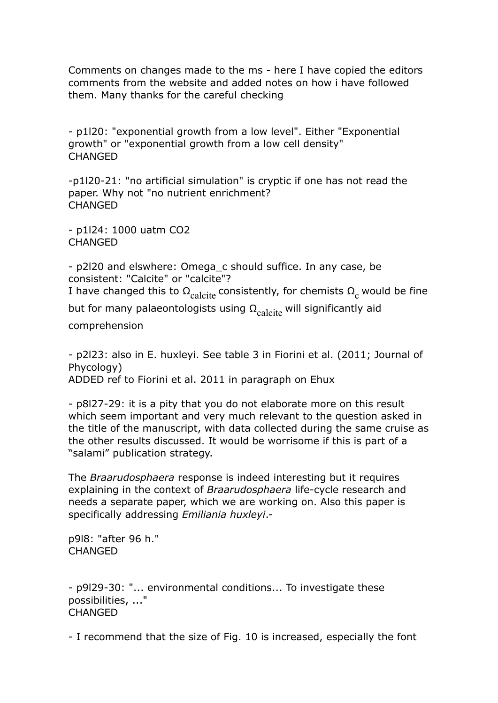Comments on changes made to the ms - here I have copied the editors comments from the website and added notes on how i have followed them. Many thanks for the careful checking

- p1l20: "exponential growth from a low level". Either "Exponential growth" or "exponential growth from a low cell density" **CHANGED** 

-p1l20-21: "no artificial simulation" is cryptic if one has not read the paper. Why not "no nutrient enrichment? CHANGED

- p1l24: 1000 uatm CO2 **CHANGED** 

- p2l20 and elswhere: Omega\_c should suffice. In any case, be consistent: "Calcite" or "calcite"? I have changed this to  $\Omega_{\rm{calcite}}$  consistently, for chemists  $\Omega_{\rm{c}}$  would be fine but for many palaeontologists using  $\Omega_{\text{calcite}}$  will significantly aid comprehension

- p2l23: also in E. huxleyi. See table 3 in Fiorini et al. (2011; Journal of Phycology) ADDED ref to Fiorini et al. 2011 in paragraph on Ehux

- p8l27-29: it is a pity that you do not elaborate more on this result which seem important and very much relevant to the question asked in the title of the manuscript, with data collected during the same cruise as the other results discussed. It would be worrisome if this is part of a "salami" publication strategy.

The *Braarudosphaera* response is indeed interesting but it requires explaining in the context of *Braarudosphaera* life-cycle research and needs a separate paper, which we are working on. Also this paper is specifically addressing *Emiliania huxleyi*.-

p9l8: "after 96 h." **CHANGED** 

- p9l29-30: "... environmental conditions... To investigate these possibilities, ..." **CHANGED** 

- I recommend that the size of Fig. 10 is increased, especially the font